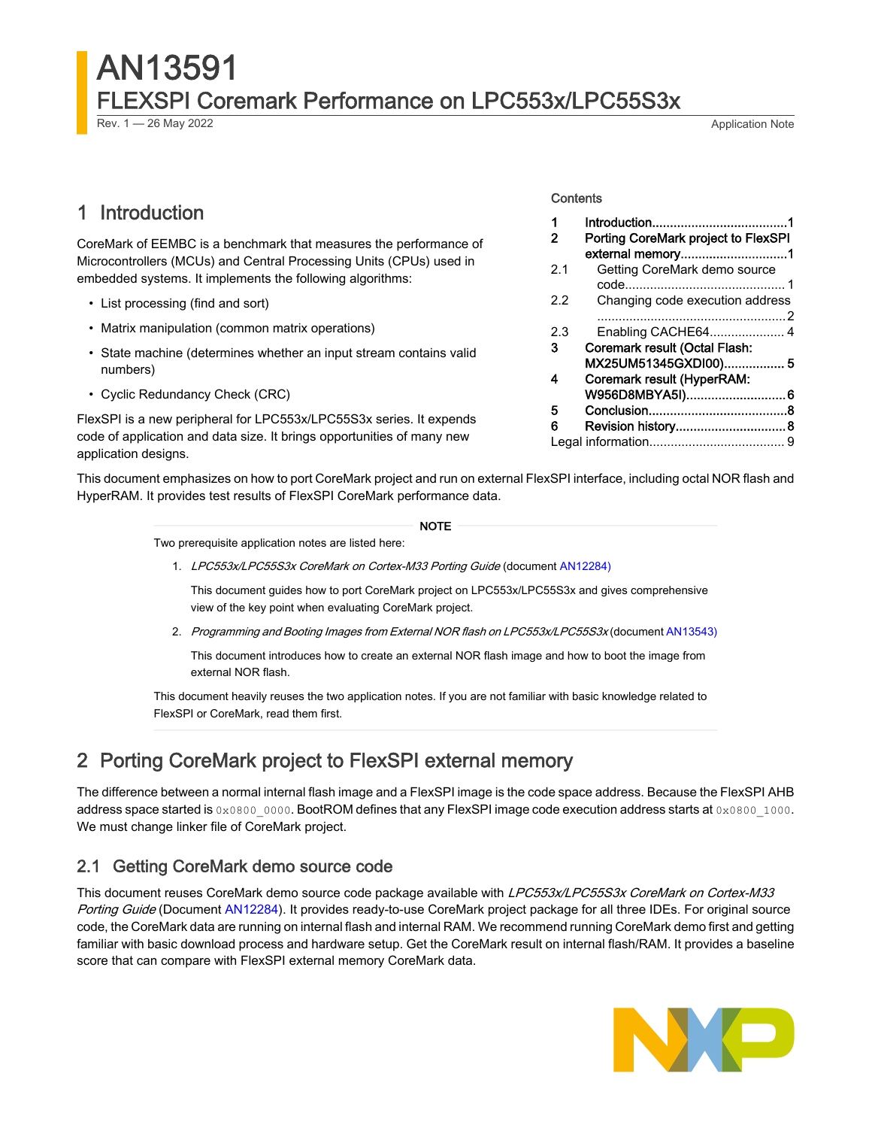## AN13591 FLEXSPI Coremark Performance on LPC553x/LPC55S3x

Rev. 1 — 26 May 2022 **Application Note Rev. 1 — 26 May 2022** Application Note

## 1 Introduction

CoreMark of EEMBC is a benchmark that measures the performance of Microcontrollers (MCUs) and Central Processing Units (CPUs) used in embedded systems. It implements the following algorithms:

- List processing (find and sort)
- Matrix manipulation (common matrix operations)
- State machine (determines whether an input stream contains valid numbers)
- Cyclic Redundancy Check (CRC)

FlexSPI is a new peripheral for LPC553x/LPC55S3x series. It expends code of application and data size. It brings opportunities of many new application designs.

This document emphasizes on how to port CoreMark project and run on external FlexSPI interface, including octal NOR flash and HyperRAM. It provides test results of FlexSPI CoreMark performance data.

NOTE

Two prerequisite application notes are listed here:

1. LPC553x/LPC55S3x CoreMark on Cortex-M33 Porting Guide (document [AN12284\)](https://www.nxp.com.cn/docs/en/application-note/AN12284.pdf)

This document guides how to port CoreMark project on LPC553x/LPC55S3x and gives comprehensive view of the key point when evaluating CoreMark project.

2. Programming and Booting Images from External NOR flash on LPC553x/LPC55S3x (document [AN13543\)](https://www.nxp.com.cn/docs/en/application-note/AN13543.pdf)

This document introduces how to create an external NOR flash image and how to boot the image from external NOR flash.

This document heavily reuses the two application notes. If you are not familiar with basic knowledge related to FlexSPI or CoreMark, read them first.

## 2 Porting CoreMark project to FlexSPI external memory

The difference between a normal internal flash image and a FlexSPI image is the code space address. Because the FlexSPI AHB address space started is 0x0800\_0000. BootROM defines that any FlexSPI image code execution address starts at 0x0800\_1000. We must change linker file of CoreMark project.

#### 2.1 Getting CoreMark demo source code

This document reuses CoreMark demo source code package available with LPC553x/LPC55S3x CoreMark on Cortex-M33 Porting Guide (Document [AN12284\)](https://www.nxp.com.cn/docs/en/application-note/AN12284.pdf). It provides ready-to-use CoreMark project package for all three IDEs. For original source code, the CoreMark data are running on internal flash and internal RAM. We recommend running CoreMark demo first and getting familiar with basic download process and hardware setup. Get the CoreMark result on internal flash/RAM. It provides a baseline score that can compare with FlexSPI external memory CoreMark data.



#### **Contents**

| 1   |                                      |
|-----|--------------------------------------|
| 2   | Porting CoreMark project to FlexSPI  |
|     | external memory1                     |
| 2.1 | Getting CoreMark demo source         |
|     |                                      |
| 22  | Changing code execution address      |
|     |                                      |
| 2.3 |                                      |
| 3   | <b>Coremark result (Octal Flash:</b> |
|     | MX25UM51345GXDI00) 5                 |
| 4   | Coremark result (HyperRAM:           |
|     | W956D8MBYA5I)6                       |
| 5   |                                      |
| 6   | Revision history 8                   |
|     |                                      |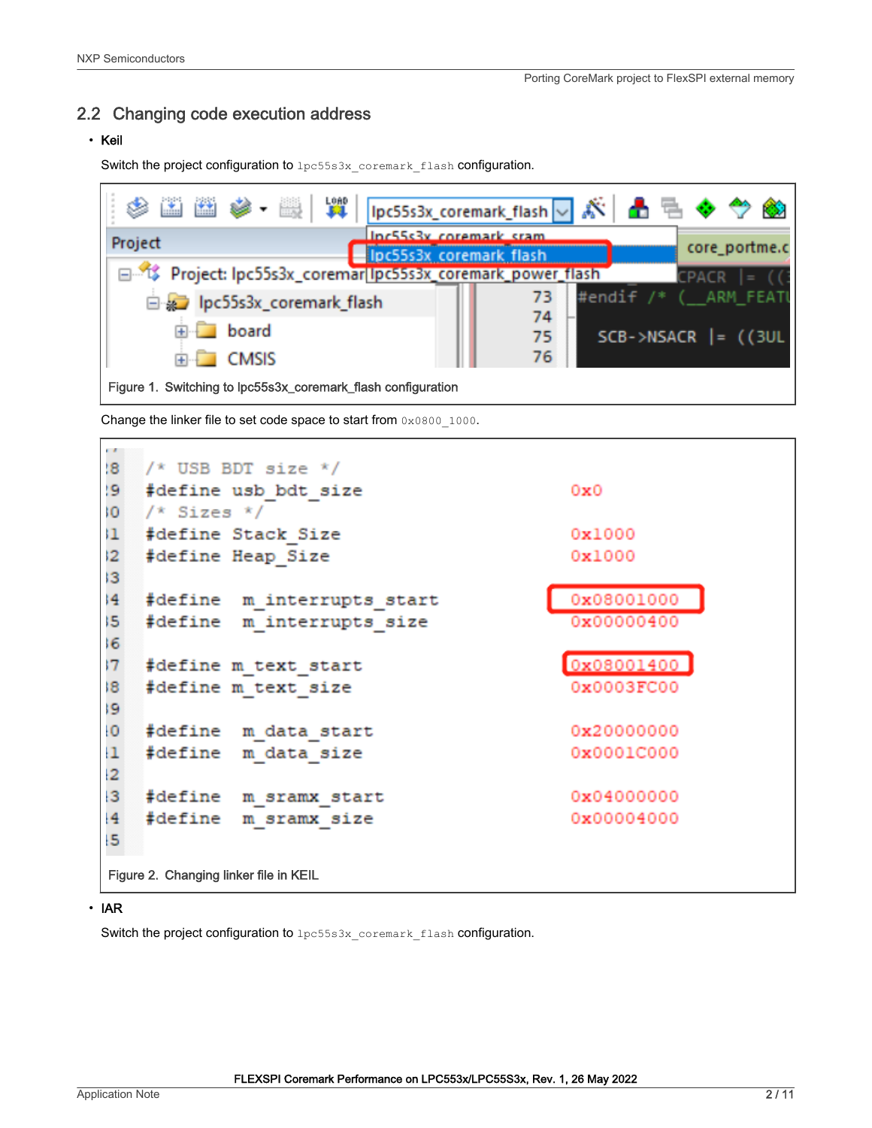#### <span id="page-1-0"></span>2.2 Changing code execution address

#### • Keil

Switch the project configuration to lpc55s3x coremark flash configuration.



Change the linker file to set code space to start from 0x0800 1000.



#### • IAR

Switch the project configuration to  $1pc55s3x$  coremark flash configuration.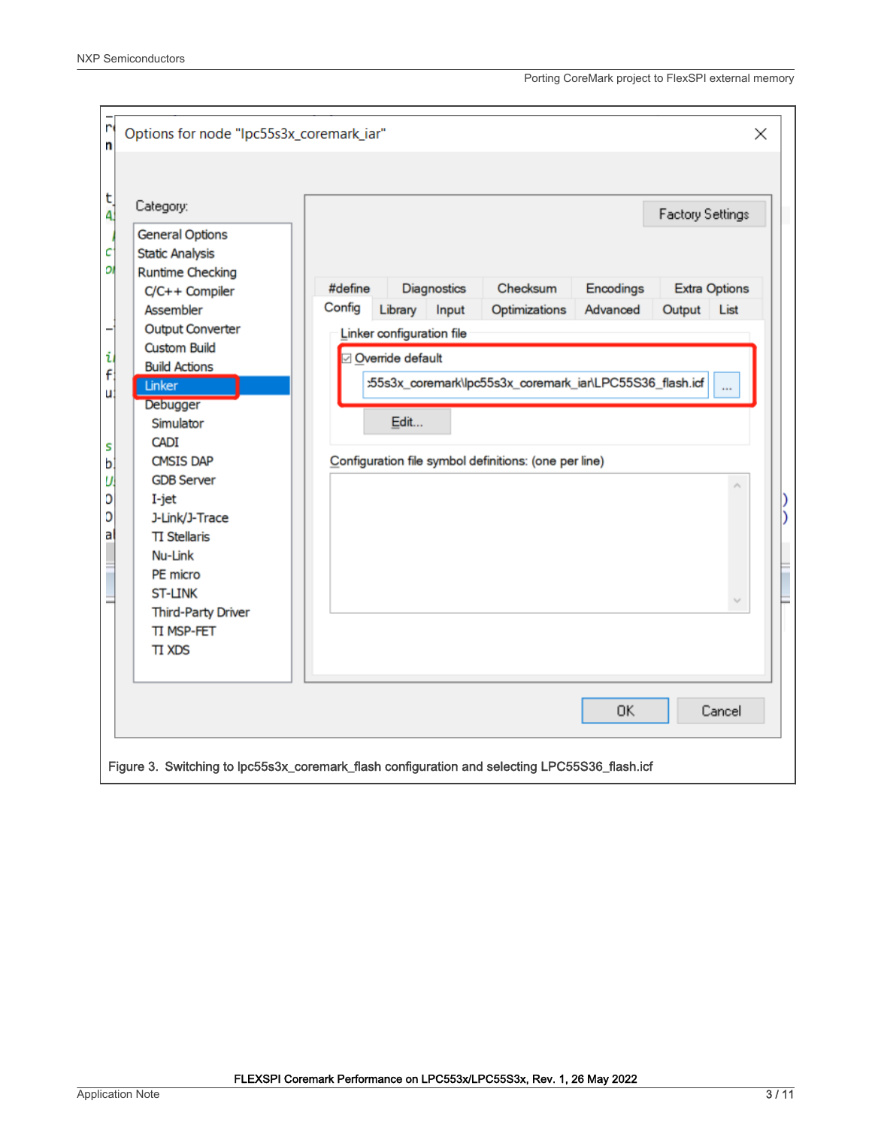| n<br>n<br>t<br>4.<br>с<br>DI<br>i<br>f<br>u<br>S | Options for node "Ipc55s3x_coremark_iar"<br>Category:<br><b>General Options</b><br><b>Static Analysis</b><br><b>Runtime Checking</b><br>C/C++ Compiler<br>Assembler<br><b>Output Converter</b><br><b>Custom Build</b><br><b>Build Actions</b><br>Linker<br>Debugger<br>Simulator<br><b>CADI</b> | Factory Settings<br>#define<br>Diagnostics<br>Checksum<br>Encodings<br><b>Extra Options</b><br>Config<br>Advanced<br>Library<br>Input<br>Optimizations<br>Output<br>List<br>Linker configuration file<br>2 Override default<br>:55s3x_coremark\lpc55s3x_coremark_iar\LPC55S36_flash.icf<br>$\ddotsc$<br>Edit | $\times$ |
|--------------------------------------------------|-------------------------------------------------------------------------------------------------------------------------------------------------------------------------------------------------------------------------------------------------------------------------------------------------|--------------------------------------------------------------------------------------------------------------------------------------------------------------------------------------------------------------------------------------------------------------------------------------------------------------|----------|
| D<br>a                                           | J-Link/J-Trace<br><b>TI Stellaris</b><br>Nu-Link<br>PE micro<br>ST-LINK<br><b>Third-Party Driver</b><br>TI MSP-FET<br><b>TI XDS</b>                                                                                                                                                             | <b>OK</b><br>Cancel<br>Figure 3. Switching to lpc55s3x_coremark_flash configuration and selecting LPC55S36_flash.icf                                                                                                                                                                                         |          |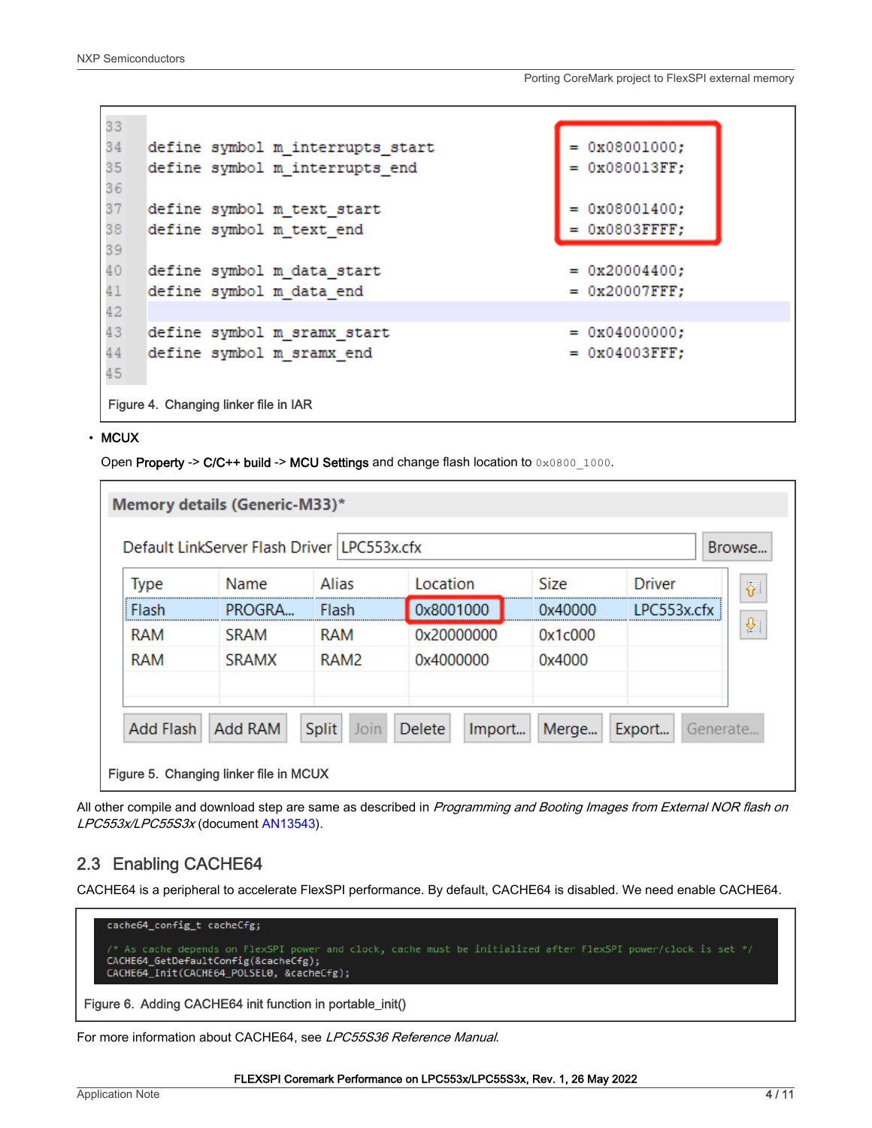<span id="page-3-0"></span>

| 33 |                                       |                                  |                  |
|----|---------------------------------------|----------------------------------|------------------|
| 34 |                                       | define symbol m_interrupts_start | $= 0x08001000;$  |
| 35 |                                       | define symbol m_interrupts_end   | $= 0x080013FF;$  |
| 36 |                                       |                                  |                  |
| 37 |                                       | define symbol m text start       | $= 0x08001400;$  |
| 38 |                                       | define symbol m text end         | $=$ 0x0803FFFF;  |
| 39 |                                       |                                  |                  |
| 40 |                                       | define symbol m data start       | $= 0x20004400;$  |
| 41 |                                       | define symbol m data end         | $= 0x20007$ FFF; |
| 42 |                                       |                                  |                  |
| 43 |                                       | define symbol m sramx start      | $= 0x04000000;$  |
| 44 |                                       | define symbol m sramx end        | $=$ 0x04003FFF;  |
| 45 |                                       |                                  |                  |
|    | Figure 4. Changing linker file in IAR |                                  |                  |

#### • MCUX

Open Property -> C/C++ build -> MCU Settings and change flash location to 0x0800\_1000.

| <b>Type</b>      | Default LinkServer Flash Driver LPC553x.cfx<br>Name | Alias         | Location         | <b>Size</b> | Browse<br><b>Driver</b> |
|------------------|-----------------------------------------------------|---------------|------------------|-------------|-------------------------|
| Flash            | PROGRA                                              | Flash         | 0x8001000        | 0x40000     | 졝<br>I PC553x.cfx       |
| RAM              | SRAM                                                | RAM           | 0x20000000       | 0x1c000     | 図                       |
| <b>RAM</b>       | <b>SRAMX</b>                                        | RAM2          | 0x4000000        | 0x4000      |                         |
| <b>Add Flash</b> | <b>Add RAM</b>                                      | Split<br>Join | Delete<br>Import | Merge       | Export<br>Generate      |

All other compile and download step are same as described in Programming and Booting Images from External NOR flash on LPC553x/LPC55S3x (document [AN13543\)](https://www.nxp.com.cn/docs/en/application-note/AN13543.pdf).

### 2.3 Enabling CACHE64

CACHE64 is a peripheral to accelerate FlexSPI performance. By default, CACHE64 is disabled. We need enable CACHE64.

| cache64_config_t cacheCfg;                                                                                                                                                                         |
|----------------------------------------------------------------------------------------------------------------------------------------------------------------------------------------------------|
| /* As cache depends on FlexSPI power and clock, cache must be initialized after FlexSPI power/clock is set */<br>CACHE64 GetDefaultConfig(&cacheCfg);<br>CACHE64 Init(CACHE64 POLSEL0, &cacheCfg); |
| Figure 6. Adding CACHE64 init function in portable init()                                                                                                                                          |

For more information about CACHE64, see LPC55S36 Reference Manual.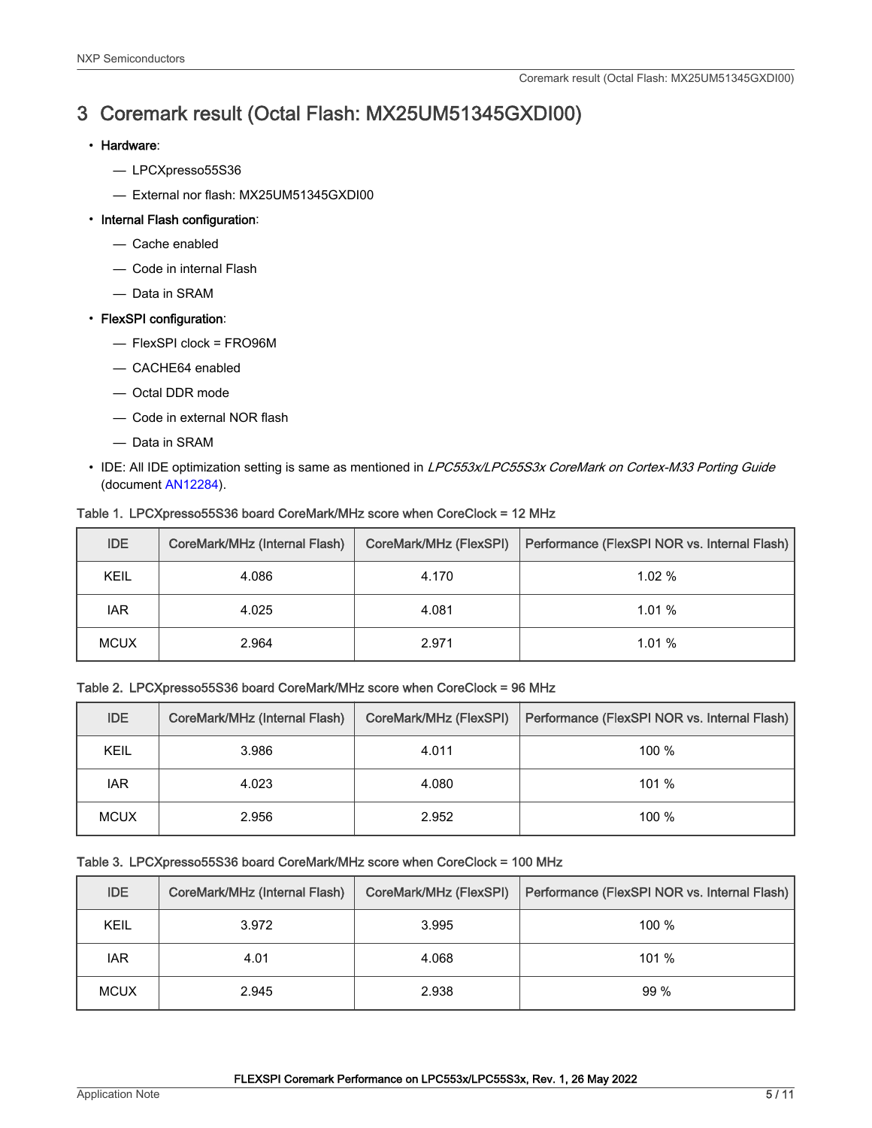## <span id="page-4-0"></span>3 Coremark result (Octal Flash: MX25UM51345GXDI00)

#### • Hardware:

- LPCXpresso55S36
- External nor flash: MX25UM51345GXDI00

#### • Internal Flash configuration:

- Cache enabled
- Code in internal Flash
- Data in SRAM

#### • FlexSPI configuration:

- FlexSPI clock = FRO96M
- CACHE64 enabled
- Octal DDR mode
- Code in external NOR flash
- Data in SRAM
- IDE: All IDE optimization setting is same as mentioned in LPC553x/LPC55S3x CoreMark on Cortex-M33 Porting Guide (document [AN12284\)](https://www.nxp.com.cn/docs/en/application-note/AN12284.pdf).

| <b>IDE</b>  | CoreMark/MHz (Internal Flash) | CoreMark/MHz (FlexSPI) | Performance (FlexSPI NOR vs. Internal Flash) |
|-------------|-------------------------------|------------------------|----------------------------------------------|
| KEIL        | 4.086                         | 4.170                  | 1.02%                                        |
| <b>IAR</b>  | 4.025                         | 4.081                  | 1.01%                                        |
| <b>MCUX</b> | 2.964                         | 2.971                  | 1.01%                                        |

#### Table 1. LPCXpresso55S36 board CoreMark/MHz score when CoreClock = 12 MHz

#### Table 2. LPCXpresso55S36 board CoreMark/MHz score when CoreClock = 96 MHz

| <b>IDE</b>  | CoreMark/MHz (Internal Flash) | CoreMark/MHz (FlexSPI) | Performance (FlexSPI NOR vs. Internal Flash) |
|-------------|-------------------------------|------------------------|----------------------------------------------|
| KEIL        | 3.986                         | 4.011                  | 100 $%$                                      |
| <b>IAR</b>  | 4.023                         | 4.080                  | $101 \%$                                     |
| <b>MCUX</b> | 2.956                         | 2.952                  | 100 %                                        |

#### Table 3. LPCXpresso55S36 board CoreMark/MHz score when CoreClock = 100 MHz

| <b>IDE</b>  | CoreMark/MHz (Internal Flash) | CoreMark/MHz (FlexSPI) | Performance (FlexSPI NOR vs. Internal Flash) |
|-------------|-------------------------------|------------------------|----------------------------------------------|
| KEIL        | 3.972                         | 3.995                  | $100 \%$                                     |
| <b>IAR</b>  | 4.01                          | 4.068                  | 101%                                         |
| <b>MCUX</b> | 2.945                         | 2.938                  | 99%                                          |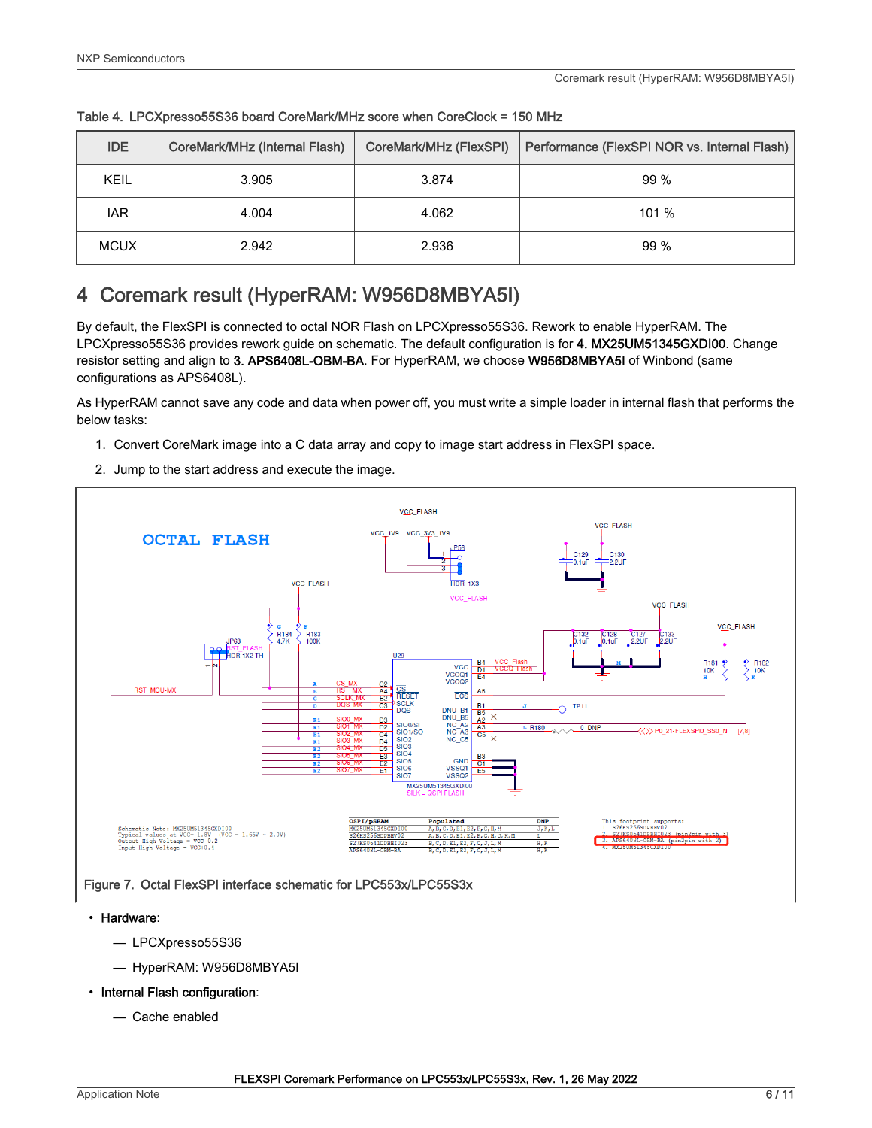| <b>IDE</b>  | CoreMark/MHz (Internal Flash) | CoreMark/MHz (FlexSPI) | Performance (FlexSPI NOR vs. Internal Flash) |
|-------------|-------------------------------|------------------------|----------------------------------------------|
| KEIL        | 3.905                         | 3.874                  | 99%                                          |
| <b>IAR</b>  | 4.004                         | 4.062                  | 101 %                                        |
| <b>MCUX</b> | 2.942                         | 2.936                  | 99%                                          |

<span id="page-5-0"></span>Table 4. LPCXpresso55S36 board CoreMark/MHz score when CoreClock = 150 MHz

## 4 Coremark result (HyperRAM: W956D8MBYA5I)

By default, the FlexSPI is connected to octal NOR Flash on LPCXpresso55S36. Rework to enable HyperRAM. The LPCXpresso55S36 provides rework guide on schematic. The default configuration is for 4. MX25UM51345GXDI00. Change resistor setting and align to 3. APS6408L-OBM-BA. For HyperRAM, we choose W956D8MBYA5I of Winbond (same configurations as APS6408L).

As HyperRAM cannot save any code and data when power off, you must write a simple loader in internal flash that performs the below tasks:

- 1. Convert CoreMark image into a C data array and copy to image start address in FlexSPI space.
- 2. Jump to the start address and execute the image.



#### • Hardware:

- LPCXpresso55S36
- HyperRAM: W956D8MBYA5I
- Internal Flash configuration:
	- Cache enabled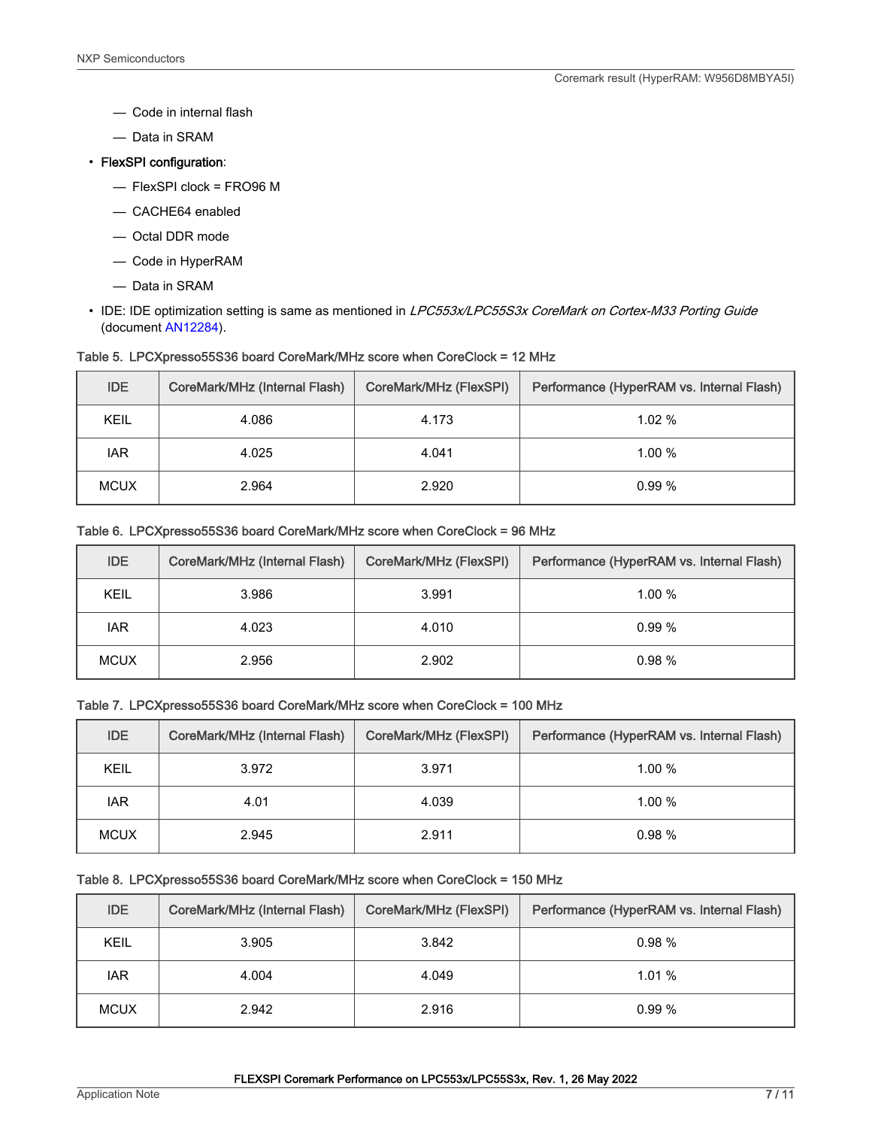- Code in internal flash
- Data in SRAM
- FlexSPI configuration:
	- FlexSPI clock = FRO96 M
	- CACHE64 enabled
	- Octal DDR mode
	- Code in HyperRAM
	- Data in SRAM
- IDE: IDE optimization setting is same as mentioned in LPC553x/LPC55S3x CoreMark on Cortex-M33 Porting Guide (document [AN12284\)](https://www.nxp.com.cn/docs/en/application-note/AN12284.pdf).

|  |  |  | Table 5. LPCXpresso55S36 board CoreMark/MHz score when CoreClock = 12 MHz |  |
|--|--|--|---------------------------------------------------------------------------|--|
|--|--|--|---------------------------------------------------------------------------|--|

| <b>IDE</b>  | CoreMark/MHz (Internal Flash) | CoreMark/MHz (FlexSPI) | Performance (HyperRAM vs. Internal Flash) |
|-------------|-------------------------------|------------------------|-------------------------------------------|
| KEIL        | 4.086                         | 4.173                  | 1.02%                                     |
| <b>IAR</b>  | 4.025                         | 4.041                  | 1.00%                                     |
| <b>MCUX</b> | 2.964                         | 2.920                  | 0.99%                                     |

#### Table 6. LPCXpresso55S36 board CoreMark/MHz score when CoreClock = 96 MHz

| <b>IDE</b>  | CoreMark/MHz (Internal Flash) | CoreMark/MHz (FlexSPI) | Performance (HyperRAM vs. Internal Flash) |
|-------------|-------------------------------|------------------------|-------------------------------------------|
| KEIL        | 3.986                         | 3.991                  | 1.00%                                     |
| <b>IAR</b>  | 4.023                         | 4.010                  | 0.99%                                     |
| <b>MCUX</b> | 2.956                         | 2.902                  | 0.98%                                     |

#### Table 7. LPCXpresso55S36 board CoreMark/MHz score when CoreClock = 100 MHz

| <b>IDE</b>  | CoreMark/MHz (Internal Flash) | CoreMark/MHz (FlexSPI) | Performance (HyperRAM vs. Internal Flash) |
|-------------|-------------------------------|------------------------|-------------------------------------------|
| KEIL        | 3.972                         | 3.971                  | 1.00%                                     |
| <b>IAR</b>  | 4.01                          | 4.039                  | 1.00%                                     |
| <b>MCUX</b> | 2.945                         | 2.911                  | 0.98%                                     |

#### Table 8. LPCXpresso55S36 board CoreMark/MHz score when CoreClock = 150 MHz

| <b>IDE</b>  | CoreMark/MHz (Internal Flash) | CoreMark/MHz (FlexSPI) | Performance (HyperRAM vs. Internal Flash) |
|-------------|-------------------------------|------------------------|-------------------------------------------|
| KEIL        | 3.905                         | 3.842                  | 0.98%                                     |
| <b>IAR</b>  | 4.004                         | 4.049                  | 1.01%                                     |
| <b>MCUX</b> | 2.942                         | 2.916                  | 0.99%                                     |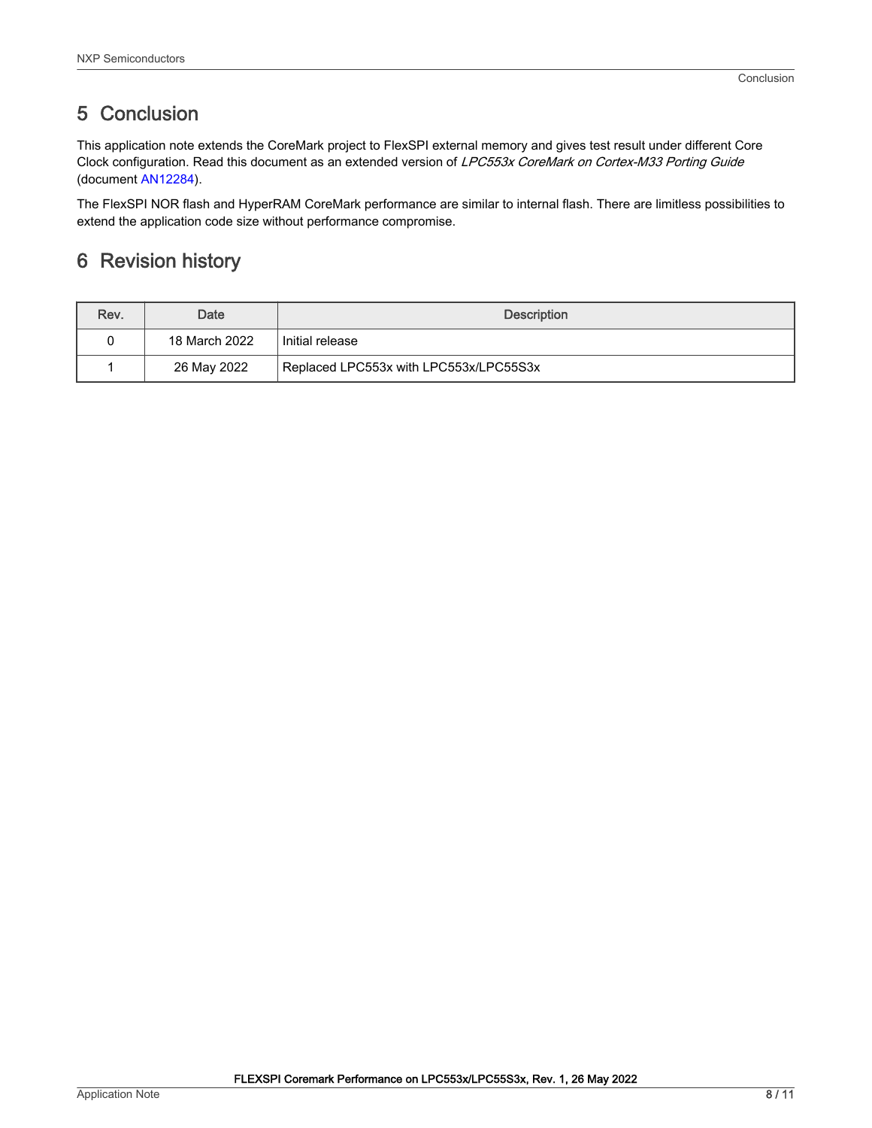## <span id="page-7-0"></span>5 Conclusion

This application note extends the CoreMark project to FlexSPI external memory and gives test result under different Core Clock configuration. Read this document as an extended version of LPC553x CoreMark on Cortex-M33 Porting Guide (document [AN12284\)](https://www.nxp.com.cn/docs/en/application-note/AN12284.pdf).

The FlexSPI NOR flash and HyperRAM CoreMark performance are similar to internal flash. There are limitless possibilities to extend the application code size without performance compromise.

## 6 Revision history

| Rev. | Date          | <b>Description</b>                     |  |
|------|---------------|----------------------------------------|--|
|      | 18 March 2022 | Initial release                        |  |
|      | 26 May 2022   | Replaced LPC553x with LPC553x/LPC55S3x |  |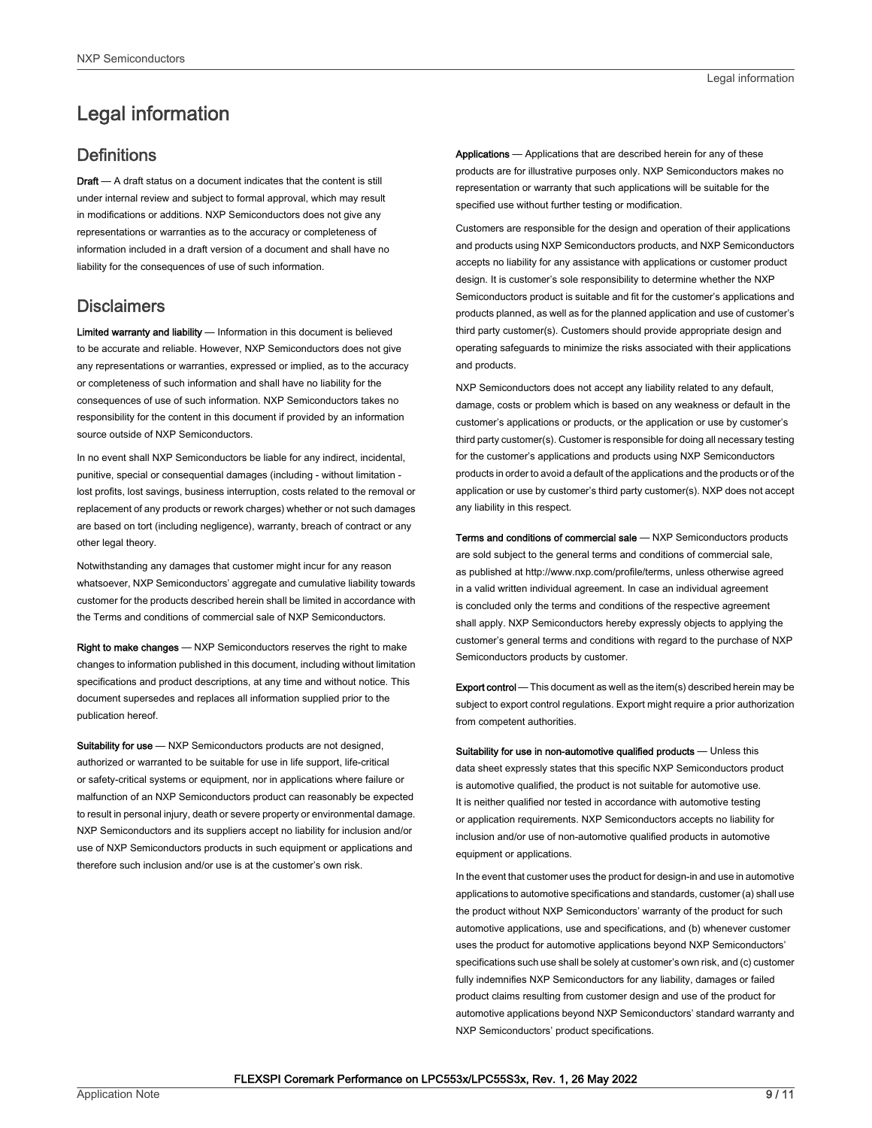## <span id="page-8-0"></span>Legal information

#### **Definitions**

Draft - A draft status on a document indicates that the content is still under internal review and subject to formal approval, which may result in modifications or additions. NXP Semiconductors does not give any representations or warranties as to the accuracy or completeness of information included in a draft version of a document and shall have no liability for the consequences of use of such information.

#### **Disclaimers**

Limited warranty and liability - Information in this document is believed to be accurate and reliable. However, NXP Semiconductors does not give any representations or warranties, expressed or implied, as to the accuracy or completeness of such information and shall have no liability for the consequences of use of such information. NXP Semiconductors takes no responsibility for the content in this document if provided by an information source outside of NXP Semiconductors.

In no event shall NXP Semiconductors be liable for any indirect, incidental, punitive, special or consequential damages (including - without limitation lost profits, lost savings, business interruption, costs related to the removal or replacement of any products or rework charges) whether or not such damages are based on tort (including negligence), warranty, breach of contract or any other legal theory.

Notwithstanding any damages that customer might incur for any reason whatsoever, NXP Semiconductors' aggregate and cumulative liability towards customer for the products described herein shall be limited in accordance with the Terms and conditions of commercial sale of NXP Semiconductors.

Right to make changes — NXP Semiconductors reserves the right to make changes to information published in this document, including without limitation specifications and product descriptions, at any time and without notice. This document supersedes and replaces all information supplied prior to the publication hereof.

Suitability for use - NXP Semiconductors products are not designed, authorized or warranted to be suitable for use in life support, life-critical or safety-critical systems or equipment, nor in applications where failure or malfunction of an NXP Semiconductors product can reasonably be expected to result in personal injury, death or severe property or environmental damage. NXP Semiconductors and its suppliers accept no liability for inclusion and/or use of NXP Semiconductors products in such equipment or applications and therefore such inclusion and/or use is at the customer's own risk.

Applications — Applications that are described herein for any of these products are for illustrative purposes only. NXP Semiconductors makes no representation or warranty that such applications will be suitable for the specified use without further testing or modification.

Customers are responsible for the design and operation of their applications and products using NXP Semiconductors products, and NXP Semiconductors accepts no liability for any assistance with applications or customer product design. It is customer's sole responsibility to determine whether the NXP Semiconductors product is suitable and fit for the customer's applications and products planned, as well as for the planned application and use of customer's third party customer(s). Customers should provide appropriate design and operating safeguards to minimize the risks associated with their applications and products.

NXP Semiconductors does not accept any liability related to any default, damage, costs or problem which is based on any weakness or default in the customer's applications or products, or the application or use by customer's third party customer(s). Customer is responsible for doing all necessary testing for the customer's applications and products using NXP Semiconductors products in order to avoid a default of the applications and the products or of the application or use by customer's third party customer(s). NXP does not accept any liability in this respect.

Terms and conditions of commercial sale — NXP Semiconductors products are sold subject to the general terms and conditions of commercial sale, as published at http://www.nxp.com/profile/terms, unless otherwise agreed in a valid written individual agreement. In case an individual agreement is concluded only the terms and conditions of the respective agreement shall apply. NXP Semiconductors hereby expressly objects to applying the customer's general terms and conditions with regard to the purchase of NXP Semiconductors products by customer.

Export control - This document as well as the item(s) described herein may be subject to export control regulations. Export might require a prior authorization from competent authorities.

Suitability for use in non-automotive qualified products - Unless this data sheet expressly states that this specific NXP Semiconductors product is automotive qualified, the product is not suitable for automotive use. It is neither qualified nor tested in accordance with automotive testing or application requirements. NXP Semiconductors accepts no liability for inclusion and/or use of non-automotive qualified products in automotive equipment or applications.

In the event that customer uses the product for design-in and use in automotive applications to automotive specifications and standards, customer (a) shall use the product without NXP Semiconductors' warranty of the product for such automotive applications, use and specifications, and (b) whenever customer uses the product for automotive applications beyond NXP Semiconductors' specifications such use shall be solely at customer's own risk, and (c) customer fully indemnifies NXP Semiconductors for any liability, damages or failed product claims resulting from customer design and use of the product for automotive applications beyond NXP Semiconductors' standard warranty and NXP Semiconductors' product specifications.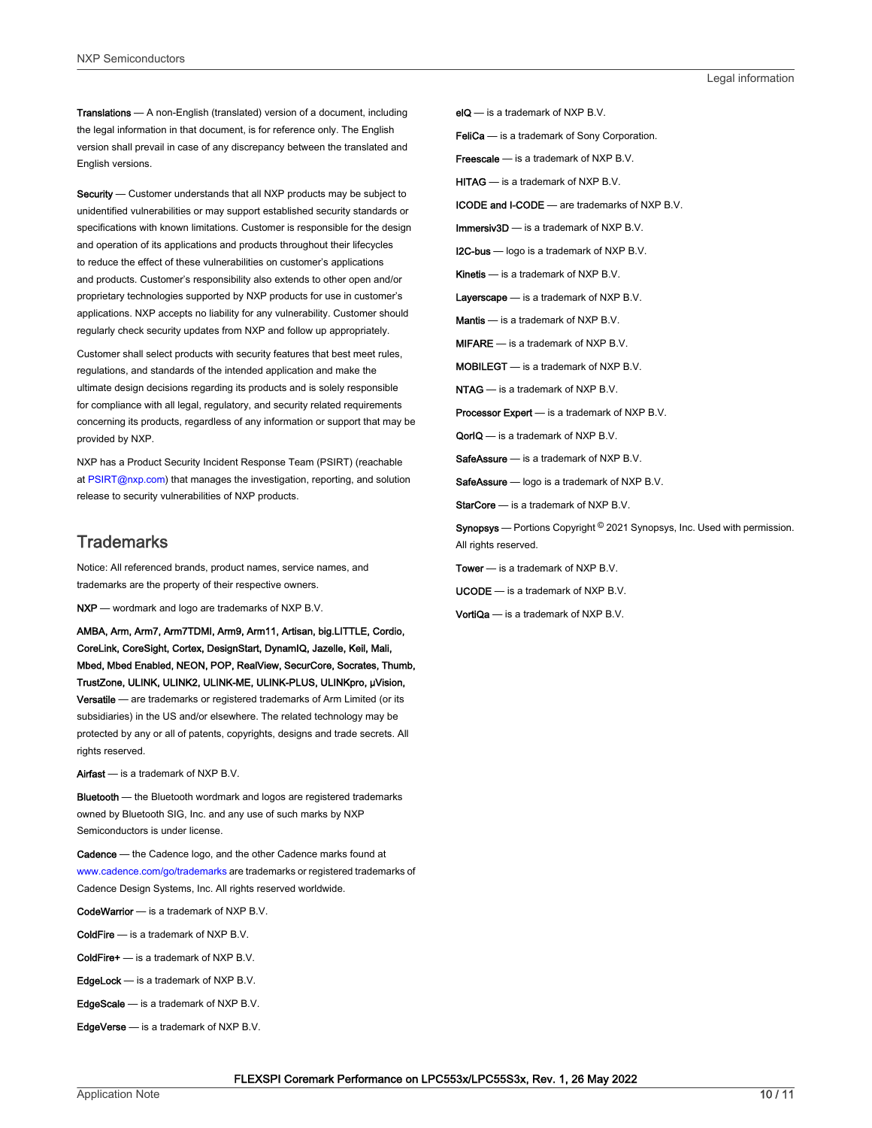Translations — A non-English (translated) version of a document, including the legal information in that document, is for reference only. The English version shall prevail in case of any discrepancy between the translated and English versions.

Security - Customer understands that all NXP products may be subject to unidentified vulnerabilities or may support established security standards or specifications with known limitations. Customer is responsible for the design and operation of its applications and products throughout their lifecycles to reduce the effect of these vulnerabilities on customer's applications and products. Customer's responsibility also extends to other open and/or proprietary technologies supported by NXP products for use in customer's applications. NXP accepts no liability for any vulnerability. Customer should regularly check security updates from NXP and follow up appropriately.

Customer shall select products with security features that best meet rules, regulations, and standards of the intended application and make the ultimate design decisions regarding its products and is solely responsible for compliance with all legal, regulatory, and security related requirements concerning its products, regardless of any information or support that may be provided by NXP.

NXP has a Product Security Incident Response Team (PSIRT) (reachable at [PSIRT@nxp.com\)](mailto:PSIRT@nxp.com) that manages the investigation, reporting, and solution release to security vulnerabilities of NXP products.

#### **Trademarks**

Notice: All referenced brands, product names, service names, and trademarks are the property of their respective owners.

NXP — wordmark and logo are trademarks of NXP B.V.

AMBA, Arm, Arm7, Arm7TDMI, Arm9, Arm11, Artisan, big.LITTLE, Cordio, CoreLink, CoreSight, Cortex, DesignStart, DynamIQ, Jazelle, Keil, Mali, Mbed, Mbed Enabled, NEON, POP, RealView, SecurCore, Socrates, Thumb, TrustZone, ULINK, ULINK2, ULINK-ME, ULINK-PLUS, ULINKpro, μVision, Versatile — are trademarks or registered trademarks of Arm Limited (or its subsidiaries) in the US and/or elsewhere. The related technology may be protected by any or all of patents, copyrights, designs and trade secrets. All rights reserved.

Airfast — is a trademark of NXP B.V.

**Bluetooth** — the Bluetooth wordmark and logos are registered trademarks owned by Bluetooth SIG, Inc. and any use of such marks by NXP Semiconductors is under license.

Cadence — the Cadence logo, and the other Cadence marks found at [www.cadence.com/go/trademarks](http://www.cadence.com/go/trademarks) are trademarks or registered trademarks of Cadence Design Systems, Inc. All rights reserved worldwide.

CodeWarrior — is a trademark of NXP B.V.

- ColdFire is a trademark of NXP B.V.
- ColdFire+ is a trademark of NXP B.V.
- EdgeLock is a trademark of NXP B.V.
- EdgeScale is a trademark of NXP B.V.

EdgeVerse — is a trademark of NXP B.V.

elQ - is a trademark of NXP B.V.

FeliCa - is a trademark of Sony Corporation.

**Freescale** — is a trademark of NXP B.V.

HITAG — is a trademark of NXP B.V.

ICODE and I-CODE — are trademarks of NXP B.V.

Immersiv3D — is a trademark of NXP B.V.

**I2C-bus** — logo is a trademark of NXP B.V.

Kinetis - is a trademark of NXP B.V.

Layerscape - is a trademark of NXP B.V.

Mantis - is a trademark of NXP B.V.

MIFARE — is a trademark of NXP B.V.

MOBILEGT — is a trademark of NXP B.V.

NTAG — is a trademark of NXP B.V.

Processor Expert - is a trademark of NXP B.V.

QorIQ - is a trademark of NXP B.V.

SafeAssure — is a trademark of NXP B.V.

SafeAssure - logo is a trademark of NXP B.V.

StarCore - is a trademark of NXP B.V.

Synopsys - Portions Copyright <sup>©</sup> 2021 Synopsys, Inc. Used with permission. All rights reserved.

Tower — is a trademark of NXP B.V.

UCODE — is a trademark of NXP B.V.

VortiQa — is a trademark of NXP B.V.